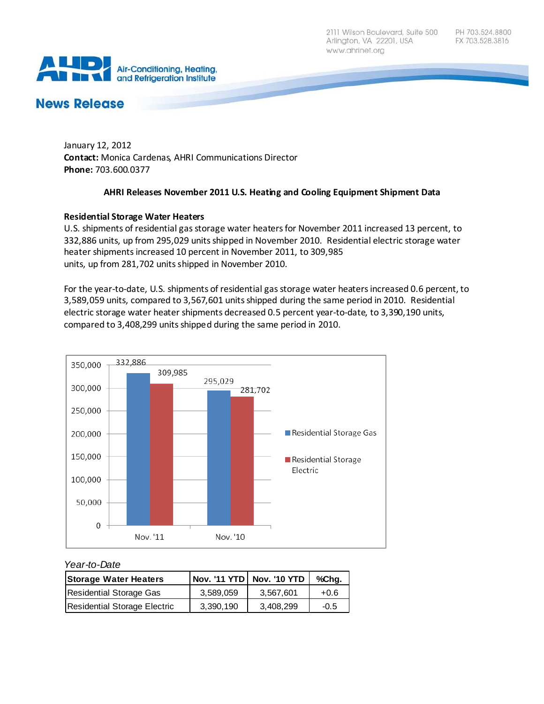2111 Wilson Boulevard, Suite 500 Arlington, VA 22201, USA www.ahrinet.org



# **News Release**

January 12, 2012 **Contact:** Monica Cardenas, AHRI Communications Director **Phone:** 703.600.0377

## **AHRI Releases November 2011 U.S. Heating and Cooling Equipment Shipment Data**

## **Residential Storage Water Heaters**

U.S. shipments of residential gas storage water heaters for November 2011 increased 13 percent, to 332,886 units, up from 295,029 units shipped in November 2010. Residential electric storage water heater shipments increased 10 percent in November 2011, to 309,985 units, up from 281,702 units shipped in November 2010.

For the year-to-date, U.S. shipments of residential gas storage water heaters increased 0.6 percent, to 3,589,059 units, compared to 3,567,601 units shipped during the same period in 2010. Residential electric storage water heater shipments decreased 0.5 percent year-to-date, to 3,390,190 units, compared to 3,408,299 units shipped during the same period in 2010.



#### *Year-to-Date*

| <b>Storage Water Heaters</b> |           | Nov. '11 YTD Nov. '10 YTD | %Chg.  |
|------------------------------|-----------|---------------------------|--------|
| Residential Storage Gas      | 3.589.059 | 3.567.601                 | $+0.6$ |
| Residential Storage Electric | 3.390.190 | 3.408.299                 | $-0.5$ |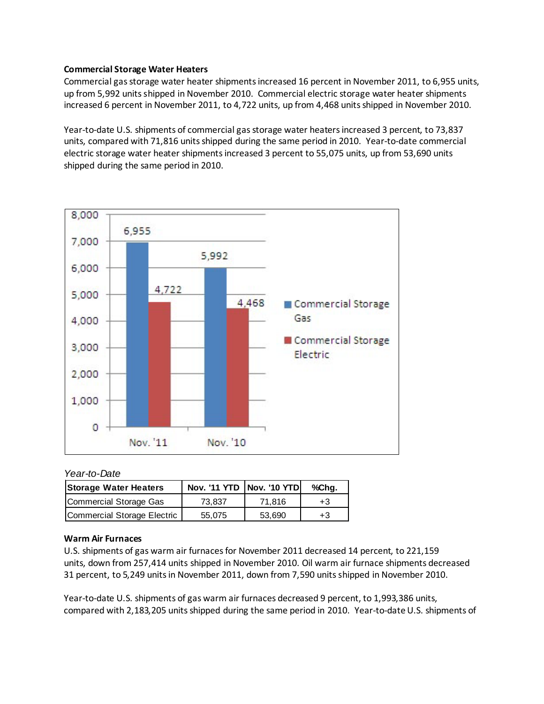### **Commercial Storage Water Heaters**

Commercial gas storage water heater shipments increased 16 percent in November 2011, to 6,955 units, up from 5,992 units shipped in November 2010. Commercial electric storage water heater shipments increased 6 percent in November 2011, to 4,722 units, up from 4,468 units shipped in November 2010.

Year-to-date U.S. shipments of commercial gas storage water heaters increased 3 percent, to 73,837 units, compared with 71,816 units shipped during the same period in 2010. Year-to-date commercial electric storage water heater shipments increased 3 percent to 55,075 units, up from 53,690 units shipped during the same period in 2010.



### *Year-to-Date*

| <b>Storage Water Heaters</b> | Nov. '11 YTD   Nov. '10 YTD |        | %Chg. |
|------------------------------|-----------------------------|--------|-------|
| Commercial Storage Gas       | 73,837                      | 71.816 | $+3$  |
| Commercial Storage Electric  | 55.075                      | 53.690 | $+3$  |

#### **Warm Air Furnaces**

U.S. shipments of gas warm air furnaces for November 2011 decreased 14 percent, to 221,159 units, down from 257,414 units shipped in November 2010. Oil warm air furnace shipments decreased 31 percent, to 5,249 units in November 2011, down from 7,590 units shipped in November 2010.

Year-to-date U.S. shipments of gas warm air furnaces decreased 9 percent, to 1,993,386 units, compared with 2,183,205 units shipped during the same period in 2010. Year-to-date U.S. shipments of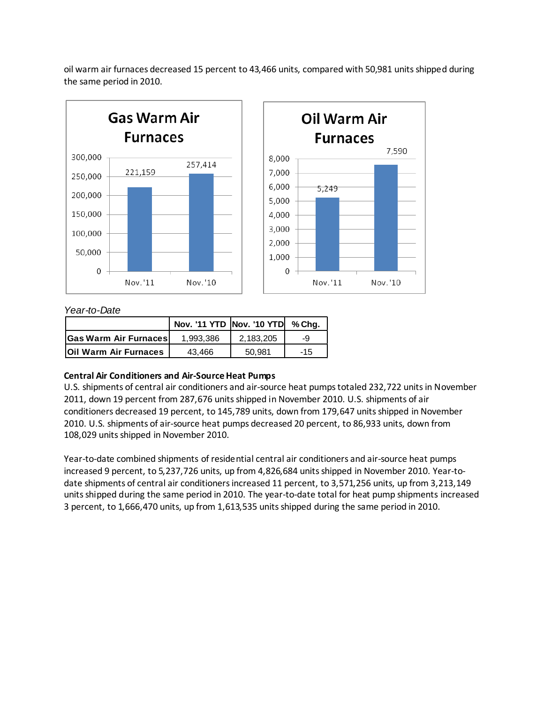oil warm air furnaces decreased 15 percent to 43,466 units, compared with 50,981 units shipped during the same period in 2010.





## *Year-to-Date*

|                              | Nov. '11 YTD Nov. '10 YTD % Chg. |           |       |
|------------------------------|----------------------------------|-----------|-------|
| <b>Gas Warm Air Furnaces</b> | 1,993,386                        | 2.183.205 | -9    |
| <b>Oil Warm Air Furnaces</b> | 43.466                           | 50.981    | $-15$ |

## **Central Air Conditioners and Air-Source Heat Pumps**

U.S. shipments of central air conditioners and air-source heat pumps totaled 232,722 units in November 2011, down 19 percent from 287,676 units shipped in November 2010. U.S. shipments of air conditioners decreased 19 percent, to 145,789 units, down from 179,647 units shipped in November 2010. U.S. shipments of air-source heat pumps decreased 20 percent, to 86,933 units, down from 108,029 units shipped in November 2010.

Year-to-date combined shipments of residential central air conditioners and air-source heat pumps increased 9 percent, to 5,237,726 units, up from 4,826,684 units shipped in November 2010. Year-todate shipments of central air conditioners increased 11 percent, to 3,571,256 units, up from 3,213,149 units shipped during the same period in 2010. The year-to-date total for heat pump shipments increased 3 percent, to 1,666,470 units, up from 1,613,535 units shipped during the same period in 2010.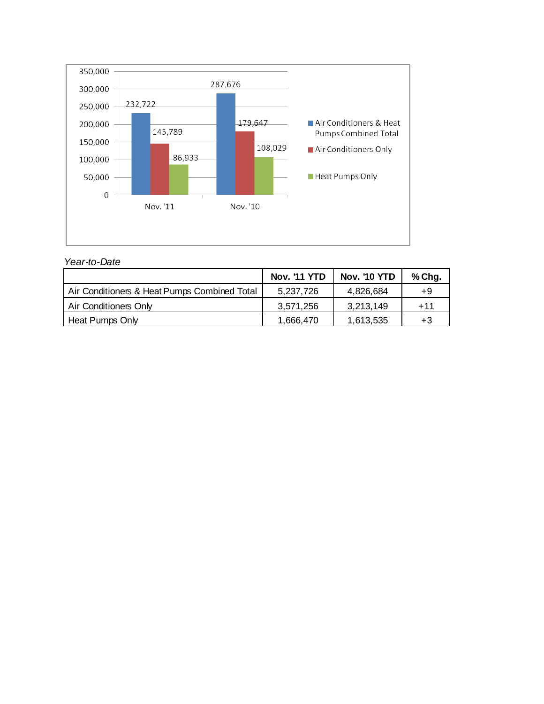

## *Year-to-Date*

|                                              | <b>Nov. '11 YTD</b> | <b>Nov. '10 YTD</b> | % Chg. |
|----------------------------------------------|---------------------|---------------------|--------|
| Air Conditioners & Heat Pumps Combined Total | 5,237,726           | 4,826,684           | +9     |
| Air Conditioners Only                        | 3,571,256           | 3,213,149           | $+11$  |
| Heat Pumps Only                              | 1.666.470           | 1,613,535           | +3     |